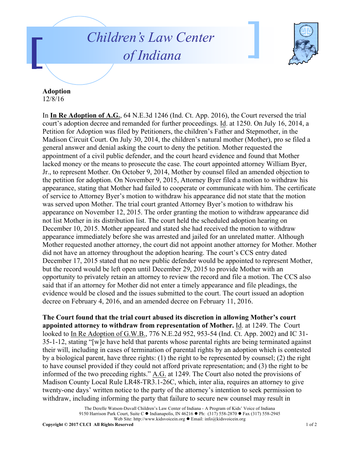## *Children's Law Center of Indiana*



**Adoption**  12/8/16

In **In Re Adoption of A.G.**, 64 N.E.3d 1246 (Ind. Ct. App. 2016), the Court reversed the trial court's adoption decree and remanded for further proceedings. Id. at 1250. On July 16, 2014, a Petition for Adoption was filed by Petitioners, the children's Father and Stepmother, in the Madison Circuit Court. On July 30, 2014, the children's natural mother (Mother), pro se filed a general answer and denial asking the court to deny the petition. Mother requested the appointment of a civil public defender, and the court heard evidence and found that Mother lacked money or the means to prosecute the case. The court appointed attorney William Byer, Jr., to represent Mother. On October 9, 2014, Mother by counsel filed an amended objection to the petition for adoption. On November 9, 2015, Attorney Byer filed a motion to withdraw his appearance, stating that Mother had failed to cooperate or communicate with him. The certificate of service to Attorney Byer's motion to withdraw his appearance did not state that the motion was served upon Mother. The trial court granted Attorney Byer's motion to withdraw his appearance on November 12, 2015. The order granting the motion to withdraw appearance did not list Mother in its distribution list. The court held the scheduled adoption hearing on December 10, 2015. Mother appeared and stated she had received the motion to withdraw appearance immediately before she was arrested and jailed for an unrelated matter. Although Mother requested another attorney, the court did not appoint another attorney for Mother. Mother did not have an attorney throughout the adoption hearing. The court's CCS entry dated December 17, 2015 stated that no new public defender would be appointed to represent Mother, but the record would be left open until December 29, 2015 to provide Mother with an opportunity to privately retain an attorney to review the record and file a motion. The CCS also said that if an attorney for Mother did not enter a timely appearance and file pleadings, the evidence would be closed and the issues submitted to the court. The court issued an adoption decree on February 4, 2016, and an amended decree on February 11, 2016.

**The Court found that the trial court abused its discretion in allowing Mother's court appointed attorney to withdraw from representation of Mother.** Id. at 1249. The Court looked to In Re Adoption of G.W.B., 776 N.E.2d 952, 953-54 (Ind. Ct. App. 2002) and IC 31- 35-1-12, stating "[w]e have held that parents whose parental rights are being terminated against their will, including in cases of termination of parental rights by an adoption which is contested by a biological parent, have three rights: (1) the right to be represented by counsel; (2) the right to have counsel provided if they could not afford private representation; and (3) the right to be informed of the two preceding rights." A.G. at 1249. The Court also noted the provisions of Madison County Local Rule LR48-TR3.1-26C, which, inter alia, requires an attorney to give twenty-one days' written notice to the party of the attorney's intention to seek permission to withdraw, including informing the party that failure to secure new counsel may result in